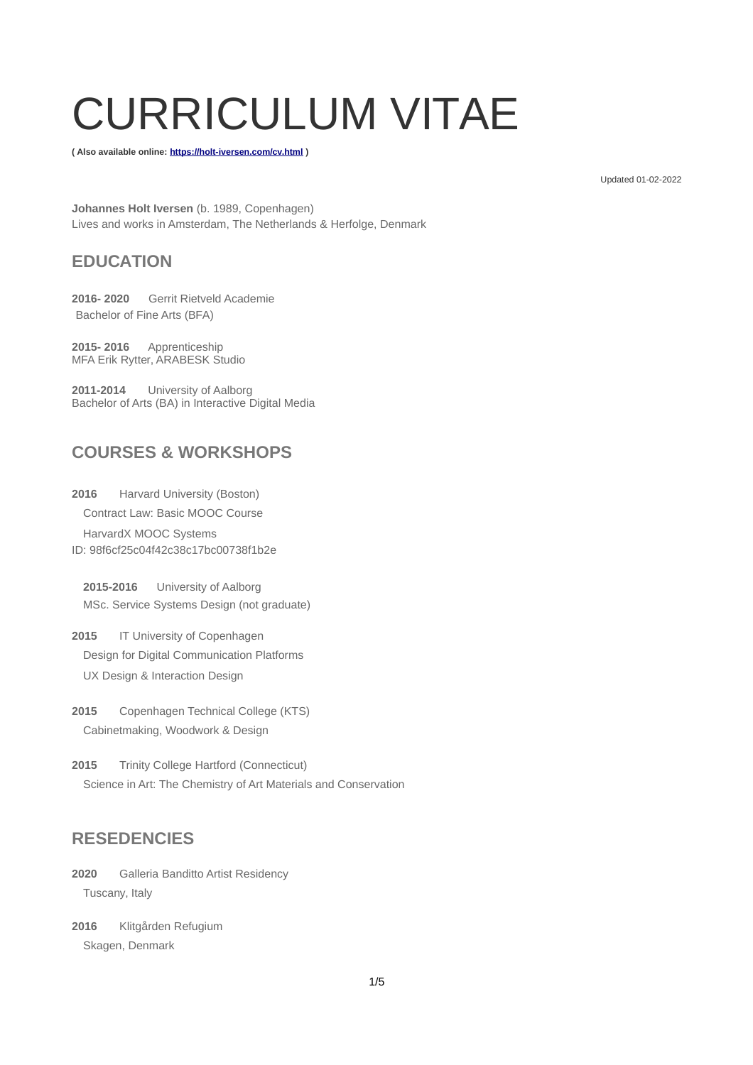# CURRICULUM VITAE

**( Also available online:<https://holt-iversen.com/cv.html>)**

Updated 01-02-2022

**Johannes Holt Iversen** (b. 1989, Copenhagen) Lives and works in Amsterdam, The Netherlands & Herfolge, Denmark

## **EDUCATION**

**2016- 2020** [Gerrit Rietveld Academie](https://rietveldacademie.nl/en/page/1025842/johannes-holt-iversen) [Bachelor of Fine Arts \(BFA\)](https://rietveldacademie.nl/en/page/1025842/johannes-holt-iversen)

**2015- 2016** Apprenticeship [MFA Erik Rytter, ARABESK Studio](http://www.rytterrytter.com/)

**2011-2014** University of Aalborg Bachelor of Arts (BA) in Interactive Digital Media

# **COURSES & WORKSHOPS**

**2016** Harvard University (Boston) Contract Law: Basic MOOC Course HarvardX MOOC Systems ID: 98f6cf25c04f42c38c17bc00738f1b2e

**2015-2016** University of Aalborg MSc. Service Systems Design (not graduate)

2015 **IT University of Copenhagen** Design for Digital Communication Platforms UX Design & Interaction Design

**2015** Copenhagen Technical College (KTS) Cabinetmaking, Woodwork & Design

**2015** Trinity College Hartford (Connecticut) Science in Art: The Chemistry of Art Materials and Conservation

#### **RESEDENCIES**

**2020** Galleria Banditto Artist Residency Tuscany, Italy

**2016** Klitgården Refugium Skagen, Denmark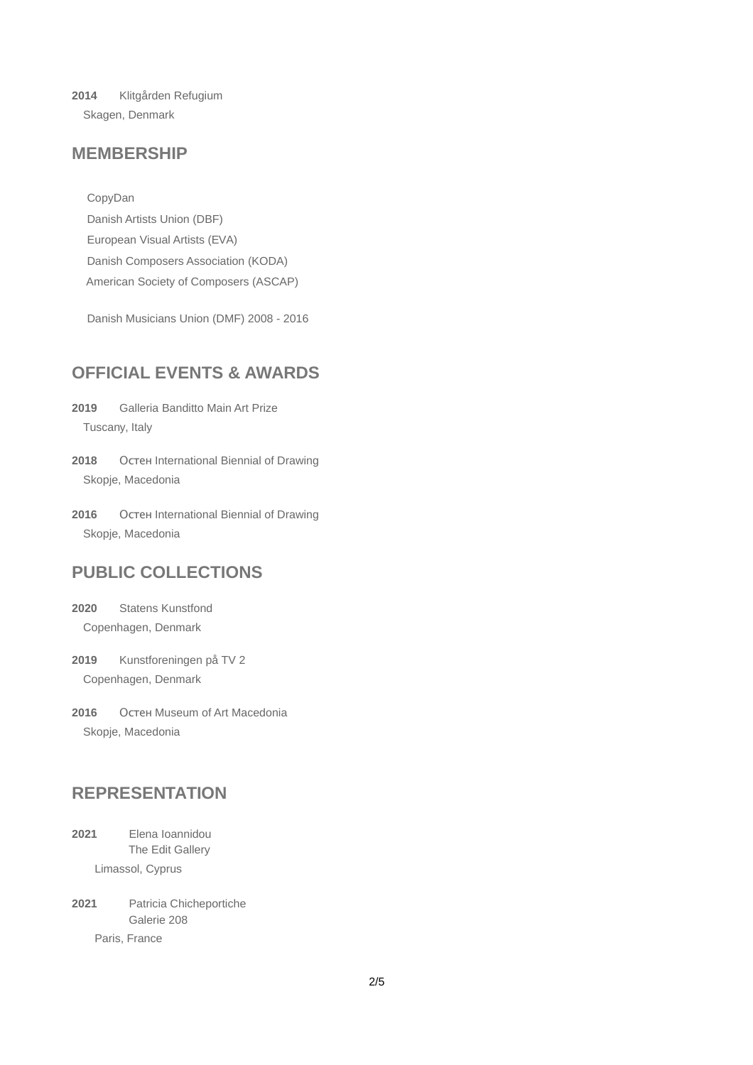**2014** Klitgården Refugium Skagen, Denmark

#### **MEMBERSHIP**

CopyDan

Danish Artists Union (DBF) European Visual Artists (EVA) Danish Composers Association (KODA) American Society of Composers (ASCAP)

Danish Musicians Union (DMF) 2008 - 2016

## **OFFICIAL EVENTS & AWARDS**

**2019** Galleria Banditto Main Art Prize Tuscany, Italy

**2018** Остен International Biennial of Drawing Skopje, Macedonia

**2016** Остен International Biennial of Drawing Skopje, Macedonia

#### **PUBLIC COLLECTIONS**

**2020** Statens Kunstfond Copenhagen, Denmark

**2019** Kunstforeningen på TV 2 Copenhagen, Denmark

**2016** Остен Museum of Art Macedonia Skopje, Macedonia

#### **REPRESENTATION**

**2021** Elena Ioannidou The Edit Gallery

Limassol, Cyprus

**2021** Patricia Chicheportiche Galerie 208 Paris, France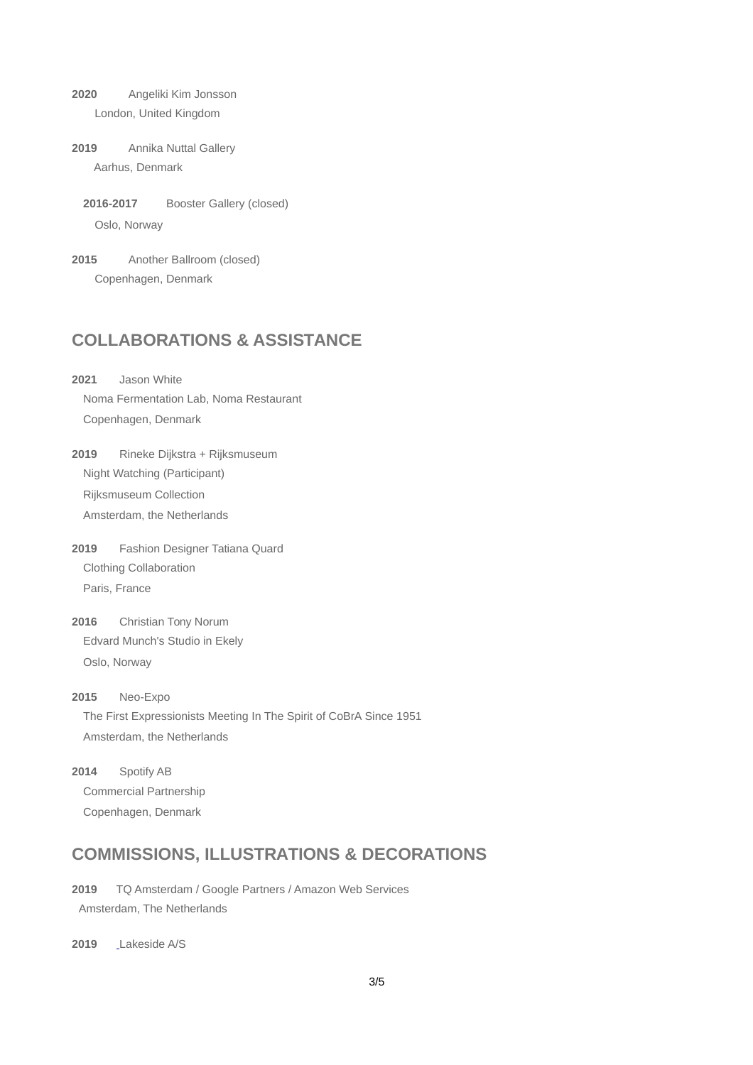**2020** Angeliki Kim Jonsson London, United Kingdom

**2019** Annika Nuttal Gallery Aarhus, Denmark

**2016-2017** Booster Gallery (closed) Oslo, Norway

**2015** Another Ballroom (closed) Copenhagen, Denmark

## **COLLABORATIONS & ASSISTANCE**

**2021** Jason White Noma Fermentation Lab, Noma Restaurant [C](http://www.ostenmuseum.mk/umetnici/c?avtorId=1839)openhagen, Denmark

**2019** Rineke Dijkstra + Rijksmuseum [N](http://www.ostenmuseum.mk/umetnici/c?avtorId=1839)ight Watching (Participant) Rijksmuseum Collection [A](http://www.ostenmuseum.mk/umetnici/c?avtorId=1839)msterdam, the Netherlands

**2019** Fashion Designer Tatiana Quard [C](http://www.ostenmuseum.mk/umetnici/c?avtorId=1839)lothing Collaboration [P](http://www.ostenmuseum.mk/umetnici/c?avtorId=1839)aris, France

**2016** Christian Tony Norum [Edvard Munch's Studio in Ekely](https://holt-iversen.com/onewebmedia/Ekely_2016.pdf) [O](http://www.ostenmuseum.mk/umetnici/c?avtorId=1839)slo, Norway

**2015** Neo-Expo The First Expressionists Meeting In The Spirit of CoBrA Since 1951 Amsterdam, the Netherlands

**2014** Spotify AB Commercial Partnership Copenhagen, Denmark

# **COMMISSIONS, ILLUSTRATIONS & DECORATIONS**

**2019** TQ Amsterdam / Google Partners / Amazon Web Services Amsterdam, The Netherlands

**2019** [L](http://tidsskriftetreception.dk/)akeside A/S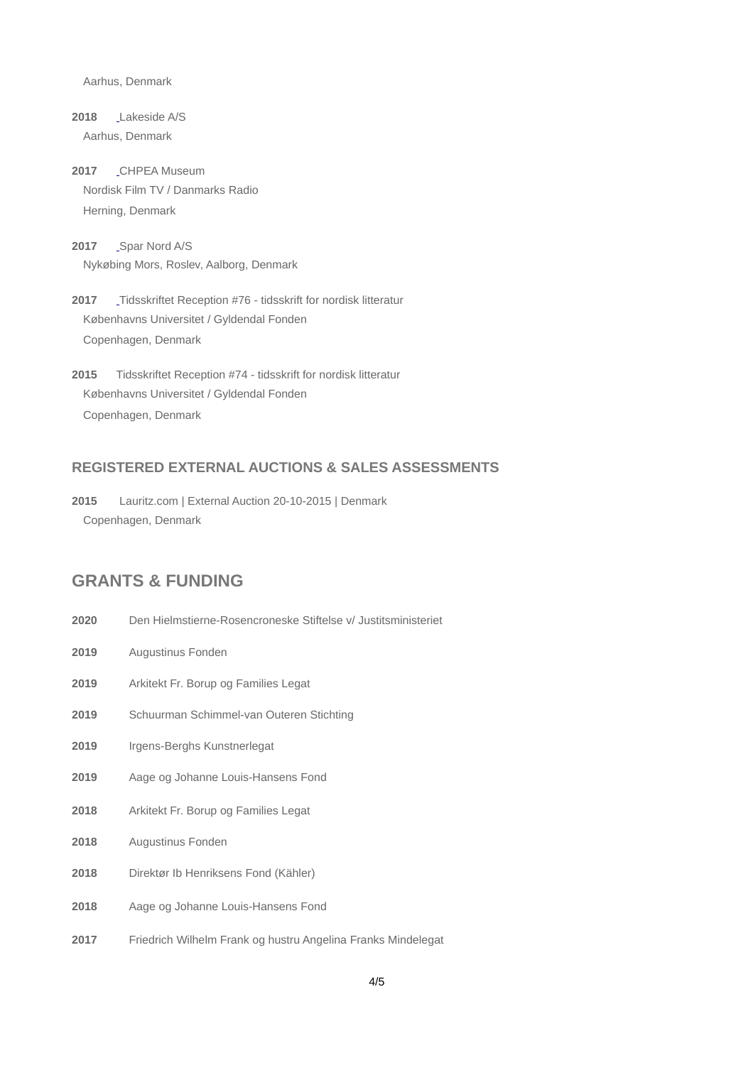Aarhus, Denmark

**2018** [L](http://tidsskriftetreception.dk/)akeside A/S Aarhus, Denmark

**2017** [C](http://tidsskriftetreception.dk/)HPEA Museum [Nordisk Film TV / Danmarks Radio](https://holt-iversen.com/onewebmedia/Documentation_TV_Appearance_DR1_26032018.pdf) [Herning, Denmark](https://holt-iversen.com/onewebmedia/Documentation_TV_Appearance_DR1_26032018.pdf)

2017 \_[S](http://tidsskriftetreception.dk/)par Nord A/S Nykøbing Mors, Roslev, Aalborg, Denmark

**2017** [T](http://tidsskriftetreception.dk/)idsskriftet Reception #76 - tidsskrift for nordisk litteratur Københavns Universitet / Gyldendal Fonden Copenhagen, Denmark

**2015** Tidsskriftet Reception #74 - tidsskrift for nordisk litteratur Københavns Universitet / Gyldendal Fonden Copenhagen, Denmark

#### **REGISTERED EXTERNAL AUCTIONS & SALES ASSESSMENTS**

**2015** Lauritz.com | External Auction 20-10-2015 | Denmark Copenhagen, Denmark

#### **GRANTS & FUNDING**

- **2020** Den Hielmstierne-Rosencroneske Stiftelse v/ Justitsministeriet
- **2019** Augustinus Fonden
- **2019** Arkitekt Fr. Borup og Families Legat
- **2019** Schuurman Schimmel-van Outeren Stichting
- **2019** Irgens-Berghs Kunstnerlegat
- **2019** Aage og Johanne Louis-Hansens Fond
- **2018** Arkitekt Fr. Borup og Families Legat
- **2018** Augustinus Fonden
- **2018** Direktør Ib Henriksens Fond (Kähler)
- **2018** Aage og Johanne Louis-Hansens Fond
- **2017** Friedrich Wilhelm Frank og hustru Angelina Franks Mindelegat